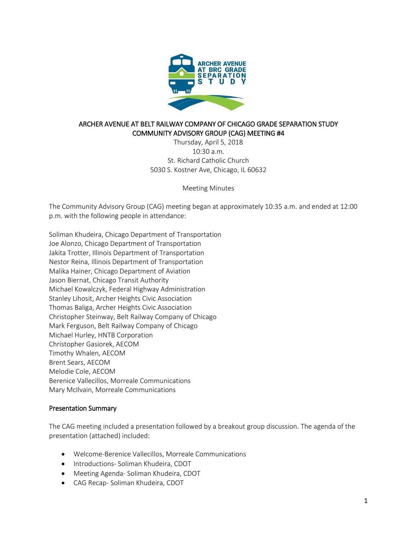

# ARCHER AVENUE AT BELT RAILWAY COMPANY OF CHICAGO GRADE SEPARATION STUDY COMMUNITY ADVISORY GROUP (CAG) MEETING #4

Thursday, April 5, 2018  $10.30 a m$ St. Richard Catholic Church 5030 S. Kostner Ave, Chicago, IL 60632

Meeting Minutes

The Community Advisory Group (CAG) meeting began at approximately 10:35 a.m. and ended at 12:00 p.m. with the following people in attendance:

Soliman Khudeira, Chicago Department of Transportation Joe Alonzo, Chicago Department of Transportation Jakita Trotter, Illinois Department of Transportation Nestor Reina, Illinois Department of Transportation Malika Hainer, Chicago Department of Aviation Jason Biernat, Chicago Transit Authority Michael Kowalczyk, Federal Highway Administration Stanley Lihosit, Archer Heights Civic Association Thomas Baliga, Archer Heights Civic Association Christopher Steinway, Belt Railway Company of Chicago Mark Ferguson, Belt Railway Company of Chicago Michael Hurley, HNTB Corporation Christopher Gasiorek, AECOM Timothy Whalen, AECOM Brent Sears, AECOM Melodie Cole, AECOM Berenice Vallecillos, Morreale Communications Mary McIlvain, Morreale Communications

### Presentation Summary

The CAG meeting included a presentation followed by a breakout group discussion. The agenda of the presentation (attached) included:

- Welcome-Berenice Vallecillos, Morreale Communications
- Introductions- Soliman Khudeira, CDOT
- Meeting Agenda- Soliman Khudeira, CDOT
- CAG Recap- Soliman Khudeira, CDOT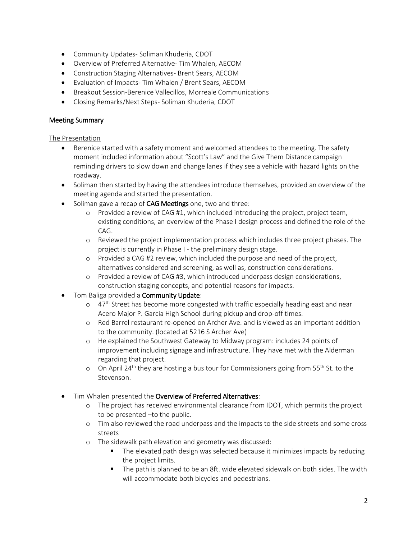- Community Updates- Soliman Khuderia, CDOT
- Overview of Preferred Alternative- Tim Whalen, AECOM
- Construction Staging Alternatives- Brent Sears, AECOM
- Evaluation of Impacts- Tim Whalen / Brent Sears, AECOM
- Breakout Session-Berenice Vallecillos, Morreale Communications
- Closing Remarks/Next Steps- Soliman Khuderia, CDOT

# Meeting Summary

### The Presentation

- Berenice started with a safety moment and welcomed attendees to the meeting. The safety moment included information about "Scott's Law" and the Give Them Distance campaign reminding drivers to slow down and change lanes if they see a vehicle with hazard lights on the roadway.
- Soliman then started by having the attendees introduce themselves, provided an overview of the meeting agenda and started the presentation.
- Soliman gave a recap of CAG Meetings one, two and three:
	- o Provided a review of CAG #1, which included introducing the project, project team, existing conditions, an overview of the Phase I design process and defined the role of the CAG.
	- o Reviewed the project implementation process which includes three project phases. The project is currently in Phase I - the preliminary design stage.
	- o Provided a CAG #2 review, which included the purpose and need of the project, alternatives considered and screening, as well as, construction considerations.
	- o Provided a review of CAG #3, which introduced underpass design considerations, construction staging concepts, and potential reasons for impacts.
- Tom Baliga provided a Community Update:
	- $\circ$  47<sup>th</sup> Street has become more congested with traffic especially heading east and near Acero Major P. Garcia High School during pickup and drop-off times.
	- o Red Barrel restaurant re-opened on Archer Ave. and is viewed as an important addition to the community. (located at 5216 S Archer Ave)
	- o He explained the Southwest Gateway to Midway program: includes 24 points of improvement including signage and infrastructure. They have met with the Alderman regarding that project.
	- $\circ$  On April 24<sup>th</sup> they are hosting a bus tour for Commissioners going from 55<sup>th</sup> St. to the Stevenson.
- Tim Whalen presented the Overview of Preferred Alternatives:
	- o The project has received environmental clearance from IDOT, which permits the project to be presented –to the public.
	- o Tim also reviewed the road underpass and the impacts to the side streets and some cross streets
	- o The sidewalk path elevation and geometry was discussed:
		- The elevated path design was selected because it minimizes impacts by reducing the project limits.
		- The path is planned to be an 8ft. wide elevated sidewalk on both sides. The width will accommodate both bicycles and pedestrians.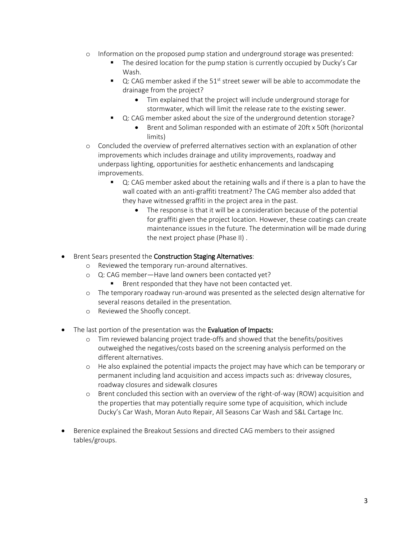- o Information on the proposed pump station and underground storage was presented:
	- The desired location for the pump station is currently occupied by Ducky's Car Wash.
	- $\blacksquare$  Q: CAG member asked if the 51<sup>st</sup> street sewer will be able to accommodate the drainage from the project?
		- Tim explained that the project will include underground storage for stormwater, which will limit the release rate to the existing sewer.
	- Q: CAG member asked about the size of the underground detention storage?
		- Brent and Soliman responded with an estimate of 20ft x 50ft (horizontal limits)
- o Concluded the overview of preferred alternatives section with an explanation of other improvements which includes drainage and utility improvements, roadway and underpass lighting, opportunities for aesthetic enhancements and landscaping improvements.
	- Q: CAG member asked about the retaining walls and if there is a plan to have the wall coated with an anti-graffiti treatment? The CAG member also added that they have witnessed graffiti in the project area in the past.
		- The response is that it will be a consideration because of the potential for graffiti given the project location. However, these coatings can create maintenance issues in the future. The determination will be made during the next project phase (Phase II) .
- Brent Sears presented the **Construction Staging Alternatives**:
	- o Reviewed the temporary run-around alternatives.
	- o Q: CAG member—Have land owners been contacted yet?
		- Brent responded that they have not been contacted yet.
	- o The temporary roadway run-around was presented as the selected design alternative for several reasons detailed in the presentation.
	- o Reviewed the Shoofly concept.
- The last portion of the presentation was the **Evaluation of Impacts:** 
	- o Tim reviewed balancing project trade-offs and showed that the benefits/positives outweighed the negatives/costs based on the screening analysis performed on the different alternatives.
	- o He also explained the potential impacts the project may have which can be temporary or permanent including land acquisition and access impacts such as: driveway closures, roadway closures and sidewalk closures
	- o Brent concluded this section with an overview of the right-of-way (ROW) acquisition and the properties that may potentially require some type of acquisition, which include Ducky's Car Wash, Moran Auto Repair, All Seasons Car Wash and S&L Cartage Inc.
- Berenice explained the Breakout Sessions and directed CAG members to their assigned tables/groups.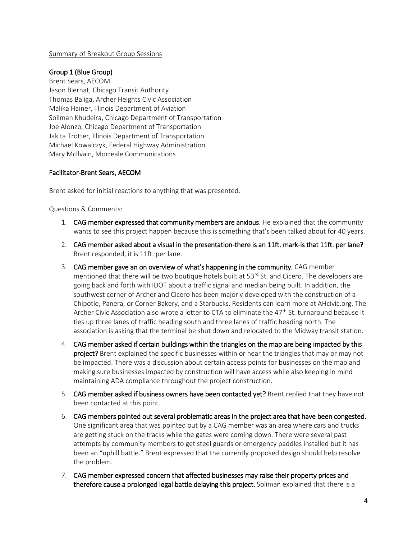#### Summary of Breakout Group Sessions

### Group 1 (Blue Group)

Brent Sears, AECOM Jason Biernat, Chicago Transit Authority Thomas Baliga, Archer Heights Civic Association Malika Hainer, Illinois Department of Aviation Soliman Khudeira, Chicago Department of Transportation Joe Alonzo, Chicago Department of Transportation Jakita Trotter, Illinois Department of Transportation Michael Kowalczyk, Federal Highway Administration Mary McIlvain, Morreale Communications

# Facilitator-Brent Sears, AECOM

Brent asked for initial reactions to anything that was presented.

Questions & Comments:

- 1. CAG member expressed that community members are anxious. He explained that the community wants to see this project happen because this is something that's been talked about for 40 years.
- 2. CAG member asked about a visual in the presentation-there is an 11ft. mark-is that 11ft. per lane? Brent responded, it is 11ft. per lane.
- 3. CAG member gave an on overview of what's happening in the community. CAG member mentioned that there will be two boutique hotels built at  $53<sup>rd</sup>$  St. and Cicero. The developers are going back and forth with IDOT about a traffic signal and median being built. In addition, the southwest corner of Archer and Cicero has been majorly developed with the construction of a Chipotle, Panera, or Corner Bakery, and a Starbucks. Residents can learn more at AHcivic.org. The Archer Civic Association also wrote a letter to CTA to eliminate the 47<sup>th</sup> St. turnaround because it ties up three lanes of traffic heading south and three lanes of traffic heading north. The association is asking that the terminal be shut down and relocated to the Midway transit station.
- 4. CAG member asked if certain buildings within the triangles on the map are being impacted by this project? Brent explained the specific businesses within or near the triangles that may or may not be impacted. There was a discussion about certain access points for businesses on the map and making sure businesses impacted by construction will have access while also keeping in mind maintaining ADA compliance throughout the project construction.
- 5. CAG member asked if business owners have been contacted yet? Brent replied that they have not been contacted at this point.
- 6. CAG members pointed out several problematic areas in the project area that have been congested. One significant area that was pointed out by a CAG member was an area where cars and trucks are getting stuck on the tracks while the gates were coming down. There were several past attempts by community members to get steel guards or emergency paddles installed but it has been an "uphill battle." Brent expressed that the currently proposed design should help resolve the problem.
- 7. CAG member expressed concern that affected businesses may raise their property prices and therefore cause a prolonged legal battle delaying this project. Soliman explained that there is a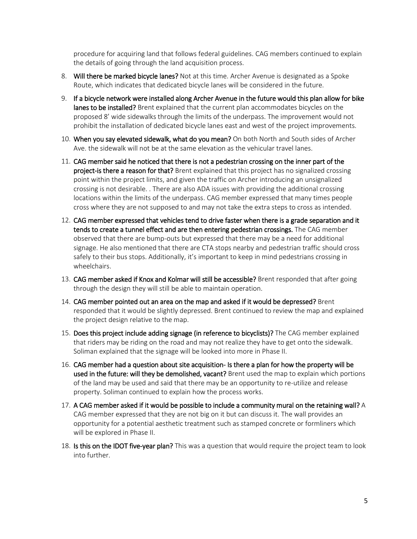procedure for acquiring land that follows federal guidelines. CAG members continued to explain the details of going through the land acquisition process.

- 8. Will there be marked bicycle lanes? Not at this time. Archer Avenue is designated as a Spoke Route, which indicates that dedicated bicycle lanes will be considered in the future.
- 9. If a bicycle network were installed along Archer Avenue in the future would this plan allow for bike lanes to be installed? Brent explained that the current plan accommodates bicycles on the proposed 8' wide sidewalks through the limits of the underpass. The improvement would not prohibit the installation of dedicated bicycle lanes east and west of the project improvements.
- 10. When you say elevated sidewalk, what do you mean? On both North and South sides of Archer Ave. the sidewalk will not be at the same elevation as the vehicular travel lanes.
- 11. CAG member said he noticed that there is not a pedestrian crossing on the inner part of the project-is there a reason for that? Brent explained that this project has no signalized crossing point within the project limits, and given the traffic on Archer introducing an unsignalized crossing is not desirable. . There are also ADA issues with providing the additional crossing locations within the limits of the underpass. CAG member expressed that many times people cross where they are not supposed to and may not take the extra steps to cross as intended.
- 12. CAG member expressed that vehicles tend to drive faster when there is a grade separation and it tends to create a tunnel effect and are then entering pedestrian crossings. The CAG member observed that there are bump-outs but expressed that there may be a need for additional signage. He also mentioned that there are CTA stops nearby and pedestrian traffic should cross safely to their bus stops. Additionally, it's important to keep in mind pedestrians crossing in wheelchairs.
- 13. CAG member asked if Knox and Kolmar will still be accessible? Brent responded that after going through the design they will still be able to maintain operation.
- 14. CAG member pointed out an area on the map and asked if it would be depressed? Brent responded that it would be slightly depressed. Brent continued to review the map and explained the project design relative to the map.
- 15. Does this project include adding signage (in reference to bicyclists)? The CAG member explained that riders may be riding on the road and may not realize they have to get onto the sidewalk. Soliman explained that the signage will be looked into more in Phase II.
- 16. CAG member had a question about site acquisition- Is there a plan for how the property will be used in the future: will they be demolished, vacant? Brent used the map to explain which portions of the land may be used and said that there may be an opportunity to re-utilize and release property. Soliman continued to explain how the process works.
- 17. A CAG member asked if it would be possible to include a community mural on the retaining wall? A CAG member expressed that they are not big on it but can discuss it. The wall provides an opportunity for a potential aesthetic treatment such as stamped concrete or formliners which will be explored in Phase II.
- 18. Is this on the IDOT five-year plan? This was a question that would require the project team to look into further.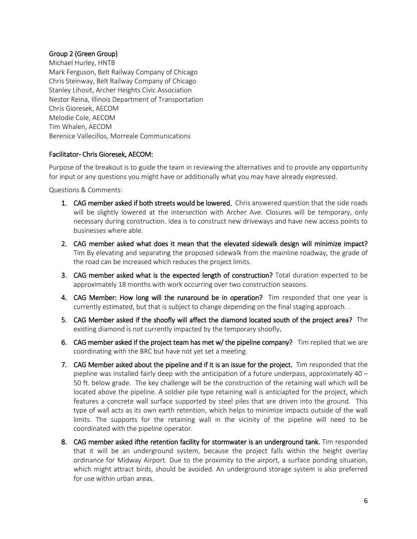# Group 2 (Green Group)

Michael Hurley, HNTB Mark Ferguson, Belt Railway Company of Chicago Chris Steinway, Belt Railway Company of Chicago Stanley Lihosit, Archer Heights Civic Association Nestor Reina, Illinois Department of Transportation Chris Gioresek, AECOM Melodie Cole, AECOM Tim Whalen, AECOM Berenice Vallecillos, Morreale Communications

### Facilitator- Chris Gioresek, AECOM:

Purpose of the breakout is to guide the team in reviewing the alternatives and to provide any opportunity for input or any questions you might have or additionally what you may have already expressed.

Questions & Comments:

- 1. CAG member asked if both streets would be lowered. Chris answered question that the side roads will be slightly lowered at the intersection with Archer Ave. Closures will be temporary, only necessary during construction. Idea is to construct new driveways and have new access points to businesses where able.
- 2. CAG member asked what does it mean that the elevated sidewalk design will minimize impact? Tim By elevating and separating the proposed sidewalk from the mainline roadway, the grade of the road can be increased which reduces the project limits.
- 3. CAG member asked what is the expected length of construction? Total duration expected to be approximately 18 months with work occurring over two construction seasons.
- 4. CAG Member: How long will the runaround be in operation? Tim responded that one year is currently estimated, but that is subject to change depending on the final staging approach. .
- 5. CAG Member asked if the shoofly will affect the diamond located south of the project area? The existing diamond is not currently impacted by the temporary shoofly.
- 6. CAG member asked if the project team has met  $w/$  the pipeline company? Tim replied that we are coordinating with the BRC but have not yet set a meeting.
- 7. CAG Member asked about the pipeline and if it is an issue for the project. Tim responded that the piepline was installed fairly deep with the anticipation of a future underpass, approximately 40 – 50 ft. below grade. The key challenge will be the construction of the retaining wall which will be located above the pipeline. A soldier pile type retaining wall is anticiapted for the project, which features a concrete wall surface supported by steel piles that are driven into the ground. This type of wall acts as its own earth retention, which helps to minimize impacts outside of the wall limits. The supports for the retaining wall in the vicinity of the pipeline will need to be coordinated with the pipeline operator.
- 8. CAG member asked ifthe retention facility for stormwater is an underground tank. Tim responded that it will be an underground system, because the project falls within the height overlay ordinance for Midway Airport. Due to the proximity to the airport, a surface ponding situation, which might attract birds, should be avoided. An underground storage system is also preferred for use within urban areas.